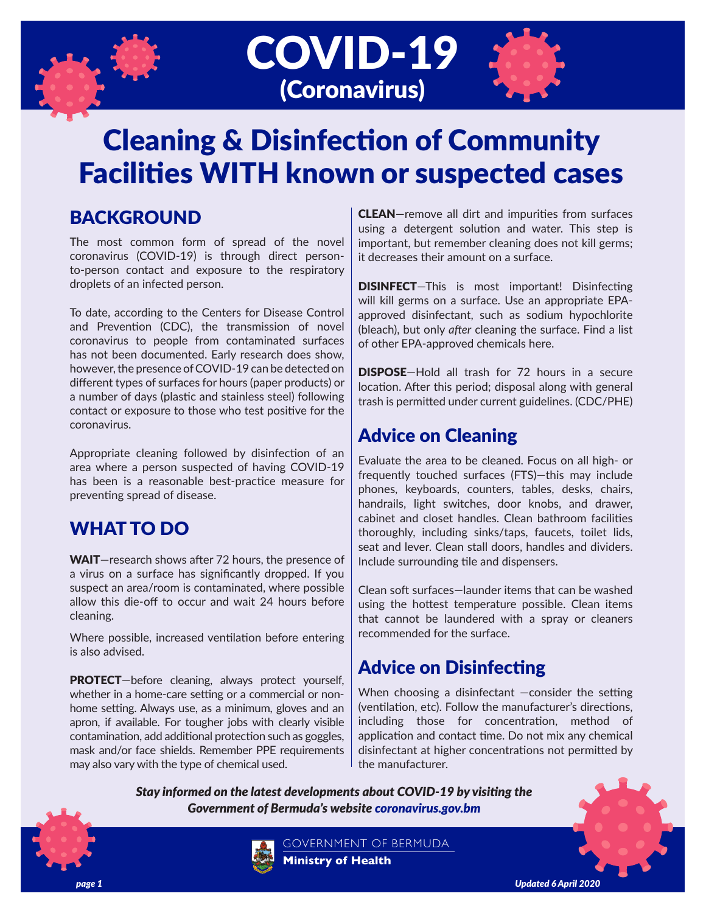





## BACKGROUND

The most common form of spread of the novel coronavirus (COVID-19) is through direct personto-person contact and exposure to the respiratory droplets of an infected person.

To date, according to the Centers for Disease Control and Prevention (CDC), the transmission of novel coronavirus to people from contaminated surfaces has not been documented. Early research does show, however, the presence of COVID-19 can be detected on different types of surfaces for hours (paper products) or a number of days (plastic and stainless steel) following contact or exposure to those who test positive for the coronavirus.

Appropriate cleaning followed by disinfection of an area where a person suspected of having COVID-19 has been is a reasonable best-practice measure for preventing spread of disease.

# WHAT TO DO

WAIT—research shows after 72 hours, the presence of a virus on a surface has significantly dropped. If you suspect an area/room is contaminated, where possible allow this die-off to occur and wait 24 hours before cleaning.

Where possible, increased ventilation before entering is also advised.

PROTECT—before cleaning, always protect yourself, whether in a home-care setting or a commercial or nonhome setting. Always use, as a minimum, gloves and an apron, if available. For tougher jobs with clearly visible contamination, add additional protection such as goggles, mask and/or face shields. Remember PPE requirements may also vary with the type of chemical used.

CLEAN—remove all dirt and impurities from surfaces using a detergent solution and water. This step is important, but remember cleaning does not kill germs; it decreases their amount on a surface.

DISINFECT—This is most important! Disinfecting will kill germs on a surface. Use an appropriate EPAapproved disinfectant, such as sodium hypochlorite (bleach), but only *after* cleaning the surface. Find a list of other EPA-approved chemicals here.

DISPOSE—Hold all trash for 72 hours in a secure location. After this period; disposal along with general trash is permitted under current guidelines. (CDC/PHE)

### Advice on Cleaning

Evaluate the area to be cleaned. Focus on all high- or frequently touched surfaces (FTS)—this may include phones, keyboards, counters, tables, desks, chairs, handrails, light switches, door knobs, and drawer, cabinet and closet handles. Clean bathroom facilities thoroughly, including sinks/taps, faucets, toilet lids, seat and lever. Clean stall doors, handles and dividers. Include surrounding tile and dispensers.

Clean soft surfaces—launder items that can be washed using the hottest temperature possible. Clean items that cannot be laundered with a spray or cleaners recommended for the surface.

# Advice on Disinfecting

When choosing a disinfectant -consider the setting (ventilation, etc). Follow the manufacturer's directions, including those for concentration, method of application and contact time. Do not mix any chemical disinfectant at higher concentrations not permitted by the manufacturer.

*Stay informed on the latest developments about COVID-19 by visiting the Government of Bermuda's website coronavirus.gov.bm*



GOVERNMENT OF BERMUDA **Ministry of Health**

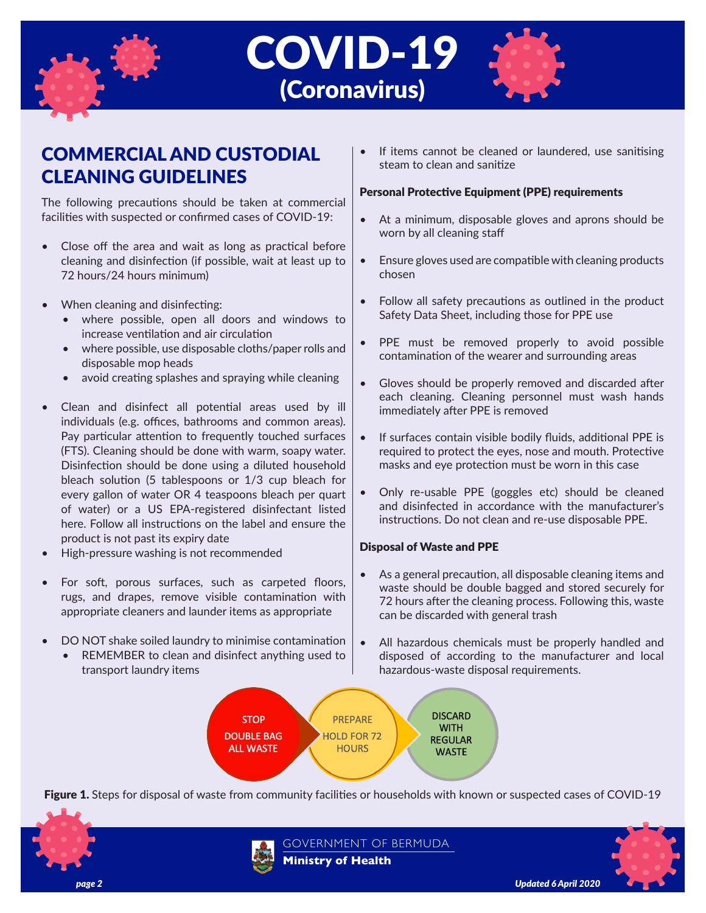





## COMMERCIAL AND CUSTODIAL CLEANING GUIDELINES

The following precautions should be taken at commercial facilities with suspected or confirmed cases of COVID-19:

- Close off the area and wait as long as practical before cleaning and disinfection (if possible, wait at least up to 72 hours/24 hours minimum)
- When cleaning and disinfecting:
	- where possible, open all doors and windows to increase ventilation and air circulation
	- where possible, use disposable cloths/paper rolls and disposable mop heads
	- avoid creating splashes and spraying while cleaning
- Clean and disinfect all potential areas used by ill individuals (e.g. offices, bathrooms and common areas). Pay particular attention to frequently touched surfaces (FTS). Cleaning should be done with warm, soapy water. Disinfection should be done using a diluted household bleach solution (5 tablespoons or 1/3 cup bleach for every gallon of water OR 4 teaspoons bleach per quart of water) or a US EPA-registered disinfectant listed here. Follow all instructions on the label and ensure the product is not past its expiry date
- High-pressure washing is not recommended
- For soft, porous surfaces, such as carpeted floors, rugs, and drapes, remove visible contamination with appropriate cleaners and launder items as appropriate
- DO NOT shake soiled laundry to minimise contamination
	- REMEMBER to clean and disinfect anything used to transport laundry items

If items cannot be cleaned or laundered, use sanitising steam to clean and sanitize

#### Personal Protective Equipment (PPE) requirements

- At a minimum, disposable gloves and aprons should be worn by all cleaning staff
- Ensure gloves used are compatible with cleaning products chosen
- Follow all safety precautions as outlined in the product Safety Data Sheet, including those for PPE use
- PPE must be removed properly to avoid possible contamination of the wearer and surrounding areas
- Gloves should be properly removed and discarded after each cleaning. Cleaning personnel must wash hands immediately after PPE is removed
- If surfaces contain visible bodily fluids, additional PPE is required to protect the eyes, nose and mouth. Protective masks and eye protection must be worn in this case
- Only re-usable PPE (goggles etc) should be cleaned and disinfected in accordance with the manufacturer's instructions. Do not clean and re-use disposable PPE.

### Disposal of Waste and PPE

- As a general precaution, all disposable cleaning items and waste should be double bagged and stored securely for 72 hours after the cleaning process. Following this, waste can be discarded with general trash
- All hazardous chemicals must be properly handled and disposed of according to the manufacturer and local hazardous-waste disposal requirements.



Figure 1. Steps for disposal of waste from community facilities or households with known or suspected cases of COVID-19





GOVERNMENT OF BERMUDA **Ministry of Health**